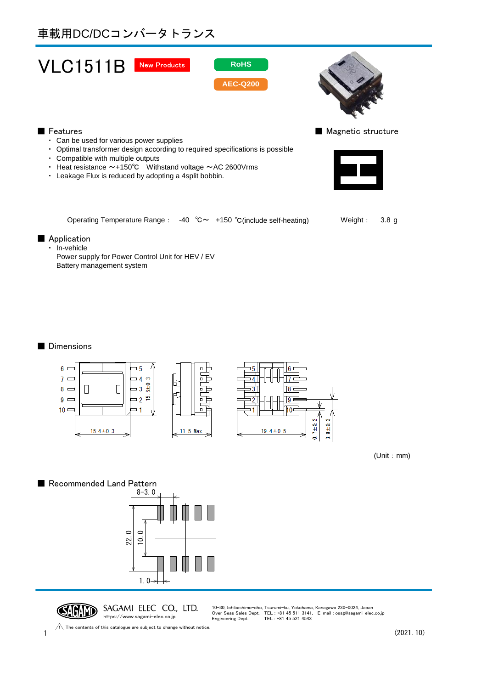# 車載用DC/DCコンバータトランス





### ■ Features ■ Magnetic structure

- ・ Can be used for various power supplies
- ・ Optimal transformer design according to required specifications is possible
- ・ Compatible with multiple outputs
- ・ Heat resistance ~+150℃ Withstand voltage ~AC 2600Vrms
- ・ Leakage Flux is reduced by adopting a 4split bobbin.



Operating Temperature Range:  $-40$  °C  $\sim$   $+150$  °C(include self-heating) Weight: 3.8 g

#### ■ Application

・ In-vehicle

Power supply for Power Control Unit for HEV / EV Battery management system

## ■ Dimensions



(Unit:mm)

# ■ Recommended Land Pattern





 $1 \t(2021.10)$ The contents of this catalogue are subject to change without notice.